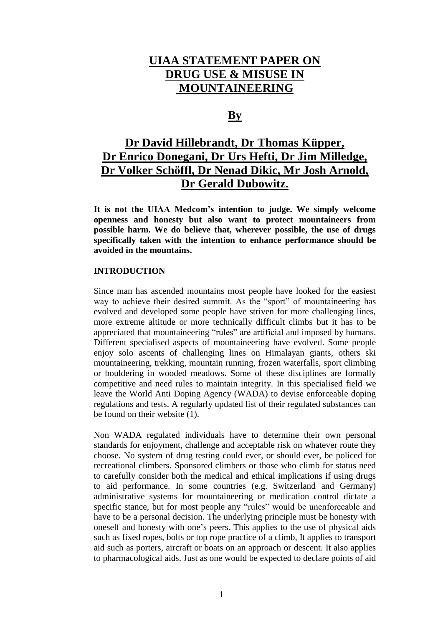# **UIAA STATEMENT PAPER ON DRUG USE & MISUSE IN MOUNTAINEERING**

# **By**

# **Dr David Hillebrandt, Dr Thomas Küpper, Dr Enrico Donegani, Dr Urs Hefti, Dr Jim Milledge, Dr Volker Schöffl, Dr Nenad Dikic, Mr Josh Arnold, Dr Gerald Dubowitz.**

**It is not the UIAA Medcom's intention to judge. We simply welcome openness and honesty but also want to protect mountaineers from possible harm. We do believe that, wherever possible, the use of drugs specifically taken with the intention to enhance performance should be avoided in the mountains.**

#### **INTRODUCTION**

Since man has ascended mountains most people have looked for the easiest way to achieve their desired summit. As the "sport" of mountaineering has evolved and developed some people have striven for more challenging lines, more extreme altitude or more technically difficult climbs but it has to be appreciated that mountaineering "rules" are artificial and imposed by humans. Different specialised aspects of mountaineering have evolved. Some people enjoy solo ascents of challenging lines on Himalayan giants, others ski mountaineering, trekking, mountain running, frozen waterfalls, sport climbing or bouldering in wooded meadows. Some of these disciplines are formally competitive and need rules to maintain integrity. In this specialised field we leave the World Anti Doping Agency (WADA) to devise enforceable doping regulations and tests. A regularly updated list of their regulated substances can be found on their website (1).

Non WADA regulated individuals have to determine their own personal standards for enjoyment, challenge and acceptable risk on whatever route they choose. No system of drug testing could ever, or should ever, be policed for recreational climbers. Sponsored climbers or those who climb for status need to carefully consider both the medical and ethical implications if using drugs to aid performance. In some countries (e.g. Switzerland and Germany) administrative systems for mountaineering or medication control dictate a specific stance, but for most people any "rules" would be unenforceable and have to be a personal decision. The underlying principle must be honesty with oneself and honesty with one's peers. This applies to the use of physical aids such as fixed ropes, bolts or top rope practice of a climb, It applies to transport aid such as porters, aircraft or boats on an approach or descent. It also applies to pharmacological aids. Just as one would be expected to declare points of aid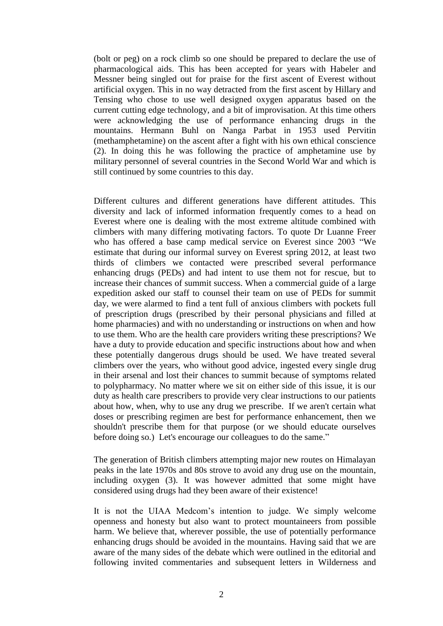(bolt or peg) on a rock climb so one should be prepared to declare the use of pharmacological aids. This has been accepted for years with Habeler and Messner being singled out for praise for the first ascent of Everest without artificial oxygen. This in no way detracted from the first ascent by Hillary and Tensing who chose to use well designed oxygen apparatus based on the current cutting edge technology, and a bit of improvisation. At this time others were acknowledging the use of performance enhancing drugs in the mountains. Hermann Buhl on Nanga Parbat in 1953 used Pervitin (methamphetamine) on the ascent after a fight with his own ethical conscience (2). In doing this he was following the practice of amphetamine use by military personnel of several countries in the Second World War and which is still continued by some countries to this day.

Different cultures and different generations have different attitudes. This diversity and lack of informed information frequently comes to a head on Everest where one is dealing with the most extreme altitude combined with climbers with many differing motivating factors. To quote Dr Luanne Freer who has offered a base camp medical service on Everest since 2003 "We estimate that during our informal survey on Everest spring 2012, at least two thirds of climbers we contacted were prescribed several performance enhancing drugs (PEDs) and had intent to use them not for rescue, but to increase their chances of summit success. When a commercial guide of a large expedition asked our staff to counsel their team on use of PEDs for summit day, we were alarmed to find a tent full of anxious climbers with pockets full of prescription drugs (prescribed by their personal physicians and filled at home pharmacies) and with no understanding or instructions on when and how to use them. Who are the health care providers writing these prescriptions? We have a duty to provide education and specific instructions about how and when these potentially dangerous drugs should be used. We have treated several climbers over the years, who without good advice, ingested every single drug in their arsenal and lost their chances to summit because of symptoms related to polypharmacy. No matter where we sit on either side of this issue, it is our duty as health care prescribers to provide very clear instructions to our patients about how, when, why to use any drug we prescribe. If we aren't certain what doses or prescribing regimen are best for performance enhancement, then we shouldn't prescribe them for that purpose (or we should educate ourselves before doing so.) Let's encourage our colleagues to do the same."

The generation of British climbers attempting major new routes on Himalayan peaks in the late 1970s and 80s strove to avoid any drug use on the mountain, including oxygen (3). It was however admitted that some might have considered using drugs had they been aware of their existence!

It is not the UIAA Medcom's intention to judge. We simply welcome openness and honesty but also want to protect mountaineers from possible harm. We believe that, wherever possible, the use of potentially performance enhancing drugs should be avoided in the mountains. Having said that we are aware of the many sides of the debate which were outlined in the editorial and following invited commentaries and subsequent letters in Wilderness and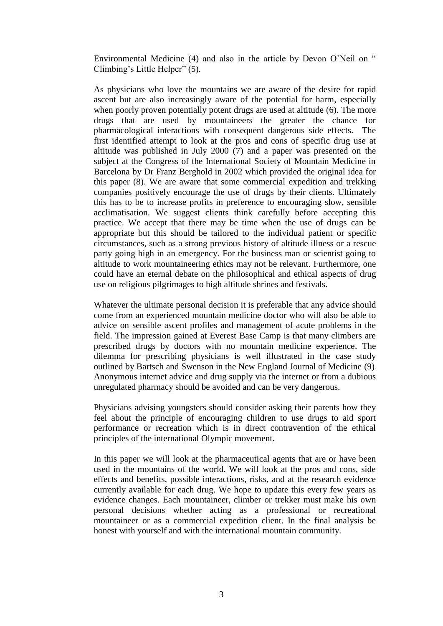Environmental Medicine (4) and also in the article by Devon O'Neil on " Climbing's Little Helper" (5).

As physicians who love the mountains we are aware of the desire for rapid ascent but are also increasingly aware of the potential for harm, especially when poorly proven potentially potent drugs are used at altitude (6). The more drugs that are used by mountaineers the greater the chance for pharmacological interactions with consequent dangerous side effects. The first identified attempt to look at the pros and cons of specific drug use at altitude was published in July 2000 (7) and a paper was presented on the subject at the Congress of the International Society of Mountain Medicine in Barcelona by Dr Franz Berghold in 2002 which provided the original idea for this paper (8). We are aware that some commercial expedition and trekking companies positively encourage the use of drugs by their clients. Ultimately this has to be to increase profits in preference to encouraging slow, sensible acclimatisation. We suggest clients think carefully before accepting this practice. We accept that there may be time when the use of drugs can be appropriate but this should be tailored to the individual patient or specific circumstances, such as a strong previous history of altitude illness or a rescue party going high in an emergency. For the business man or scientist going to altitude to work mountaineering ethics may not be relevant. Furthermore, one could have an eternal debate on the philosophical and ethical aspects of drug use on religious pilgrimages to high altitude shrines and festivals.

Whatever the ultimate personal decision it is preferable that any advice should come from an experienced mountain medicine doctor who will also be able to advice on sensible ascent profiles and management of acute problems in the field. The impression gained at Everest Base Camp is that many climbers are prescribed drugs by doctors with no mountain medicine experience. The dilemma for prescribing physicians is well illustrated in the case study outlined by Bartsch and Swenson in the New England Journal of Medicine (9)**.** Anonymous internet advice and drug supply via the internet or from a dubious unregulated pharmacy should be avoided and can be very dangerous.

Physicians advising youngsters should consider asking their parents how they feel about the principle of encouraging children to use drugs to aid sport performance or recreation which is in direct contravention of the ethical principles of the international Olympic movement.

In this paper we will look at the pharmaceutical agents that are or have been used in the mountains of the world. We will look at the pros and cons, side effects and benefits, possible interactions, risks, and at the research evidence currently available for each drug. We hope to update this every few years as evidence changes. Each mountaineer, climber or trekker must make his own personal decisions whether acting as a professional or recreational mountaineer or as a commercial expedition client. In the final analysis be honest with yourself and with the international mountain community.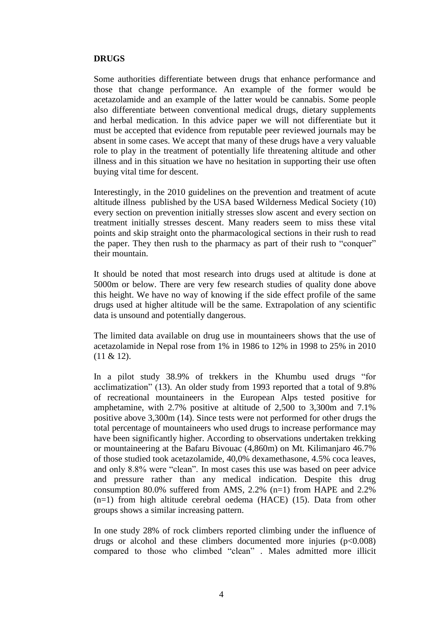#### **DRUGS**

Some authorities differentiate between drugs that enhance performance and those that change performance. An example of the former would be acetazolamide and an example of the latter would be cannabis. Some people also differentiate between conventional medical drugs, dietary supplements and herbal medication. In this advice paper we will not differentiate but it must be accepted that evidence from reputable peer reviewed journals may be absent in some cases. We accept that many of these drugs have a very valuable role to play in the treatment of potentially life threatening altitude and other illness and in this situation we have no hesitation in supporting their use often buying vital time for descent.

Interestingly, in the 2010 guidelines on the prevention and treatment of acute altitude illness published by the USA based Wilderness Medical Society (10) every section on prevention initially stresses slow ascent and every section on treatment initially stresses descent. Many readers seem to miss these vital points and skip straight onto the pharmacological sections in their rush to read the paper. They then rush to the pharmacy as part of their rush to "conquer" their mountain.

It should be noted that most research into drugs used at altitude is done at 5000m or below. There are very few research studies of quality done above this height. We have no way of knowing if the side effect profile of the same drugs used at higher altitude will be the same. Extrapolation of any scientific data is unsound and potentially dangerous.

The limited data available on drug use in mountaineers shows that the use of acetazolamide in Nepal rose from 1% in 1986 to 12% in 1998 to 25% in 2010 (11 & 12).

In a pilot study 38.9% of trekkers in the Khumbu used drugs "for acclimatization" (13). An older study from 1993 reported that a total of 9.8% of recreational mountaineers in the European Alps tested positive for amphetamine, with 2.7% positive at altitude of 2,500 to 3,300m and 7.1% positive above 3,300m (14). Since tests were not performed for other drugs the total percentage of mountaineers who used drugs to increase performance may have been significantly higher. According to observations undertaken trekking or mountaineering at the Bafaru Bivouac (4,860m) on Mt. Kilimanjaro 46.7% of those studied took acetazolamide, 40,0% dexamethasone, 4.5% coca leaves, and only 8.8% were "clean". In most cases this use was based on peer advice and pressure rather than any medical indication. Despite this drug consumption 80.0% suffered from AMS, 2.2% (n=1) from HAPE and 2.2% (n=1) from high altitude cerebral oedema (HACE) (15). Data from other groups shows a similar increasing pattern.

In one study 28% of rock climbers reported climbing under the influence of drugs or alcohol and these climbers documented more injuries  $(p<0.008)$ compared to those who climbed "clean" . Males admitted more illicit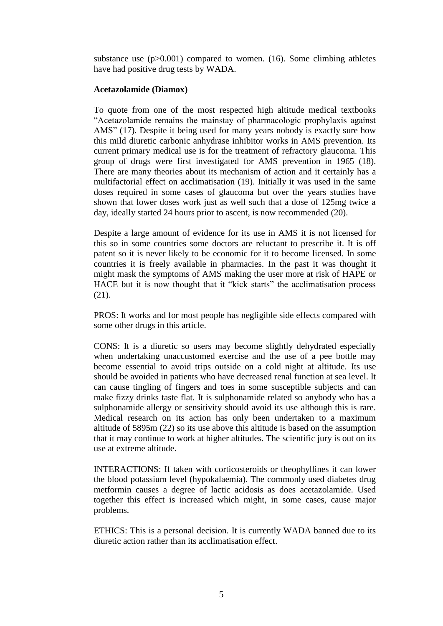substance use  $(p>0.001)$  compared to women. (16). Some climbing athletes have had positive drug tests by WADA.

# **Acetazolamide (Diamox)**

To quote from one of the most respected high altitude medical textbooks "Acetazolamide remains the mainstay of pharmacologic prophylaxis against AMS" (17). Despite it being used for many years nobody is exactly sure how this mild diuretic carbonic anhydrase inhibitor works in AMS prevention. Its current primary medical use is for the treatment of refractory glaucoma. This group of drugs were first investigated for AMS prevention in 1965 (18). There are many theories about its mechanism of action and it certainly has a multifactorial effect on acclimatisation (19). Initially it was used in the same doses required in some cases of glaucoma but over the years studies have shown that lower doses work just as well such that a dose of 125mg twice a day, ideally started 24 hours prior to ascent, is now recommended (20).

Despite a large amount of evidence for its use in AMS it is not licensed for this so in some countries some doctors are reluctant to prescribe it. It is off patent so it is never likely to be economic for it to become licensed. In some countries it is freely available in pharmacies. In the past it was thought it might mask the symptoms of AMS making the user more at risk of HAPE or HACE but it is now thought that it "kick starts" the acclimatisation process (21).

PROS: It works and for most people has negligible side effects compared with some other drugs in this article.

CONS: It is a diuretic so users may become slightly dehydrated especially when undertaking unaccustomed exercise and the use of a pee bottle may become essential to avoid trips outside on a cold night at altitude. Its use should be avoided in patients who have decreased renal function at sea level. It can cause tingling of fingers and toes in some susceptible subjects and can make fizzy drinks taste flat. It is sulphonamide related so anybody who has a sulphonamide allergy or sensitivity should avoid its use although this is rare. Medical research on its action has only been undertaken to a maximum altitude of 5895m (22) so its use above this altitude is based on the assumption that it may continue to work at higher altitudes. The scientific jury is out on its use at extreme altitude.

INTERACTIONS: If taken with corticosteroids or theophyllines it can lower the blood potassium level (hypokalaemia). The commonly used diabetes drug metformin causes a degree of lactic acidosis as does acetazolamide. Used together this effect is increased which might, in some cases, cause major problems.

ETHICS: This is a personal decision. It is currently WADA banned due to its diuretic action rather than its acclimatisation effect.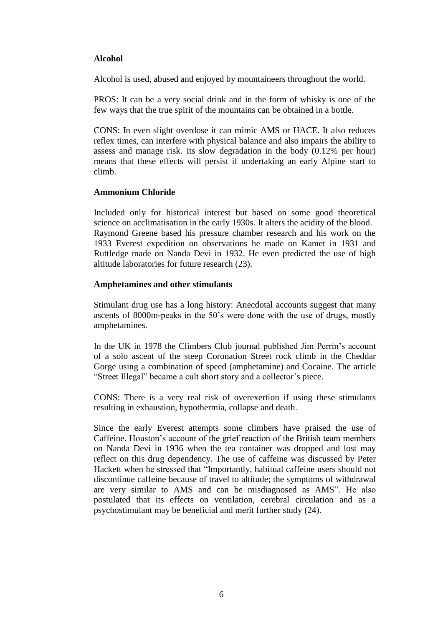# **Alcohol**

Alcohol is used, abused and enjoyed by mountaineers throughout the world.

PROS: It can be a very social drink and in the form of whisky is one of the few ways that the true spirit of the mountains can be obtained in a bottle.

CONS: In even slight overdose it can mimic AMS or HACE. It also reduces reflex times, can interfere with physical balance and also impairs the ability to assess and manage risk. Its slow degradation in the body (0.12% per hour) means that these effects will persist if undertaking an early Alpine start to climb.

#### **Ammonium Chloride**

Included only for historical interest but based on some good theoretical science on acclimatisation in the early 1930s. It alters the acidity of the blood. Raymond Greene based his pressure chamber research and his work on the 1933 Everest expedition on observations he made on Kamet in 1931 and Ruttledge made on Nanda Devi in 1932. He even predicted the use of high altitude laboratories for future research (23).

# **Amphetamines and other stimulants**

Stimulant drug use has a long history: Anecdotal accounts suggest that many ascents of 8000m-peaks in the 50's were done with the use of drugs, mostly amphetamines.

In the UK in 1978 the Climbers Club journal published Jim Perrin's account of a solo ascent of the steep Coronation Street rock climb in the Cheddar Gorge using a combination of speed (amphetamine) and Cocaine. The article "Street Illegal" became a cult short story and a collector's piece.

CONS: There is a very real risk of overexertion if using these stimulants resulting in exhaustion, hypothermia, collapse and death.

Since the early Everest attempts some climbers have praised the use of Caffeine. Houston's account of the grief reaction of the British team members on Nanda Devi in 1936 when the tea container was dropped and lost may reflect on this drug dependency. The use of caffeine was discussed by Peter Hackett when he stressed that "Importantly, habitual caffeine users should not discontinue caffeine because of travel to altitude; the symptoms of withdrawal are very similar to AMS and can be misdiagnosed as AMS". He also postulated that its effects on ventilation, cerebral circulation and as a psychostimulant may be beneficial and merit further study (24).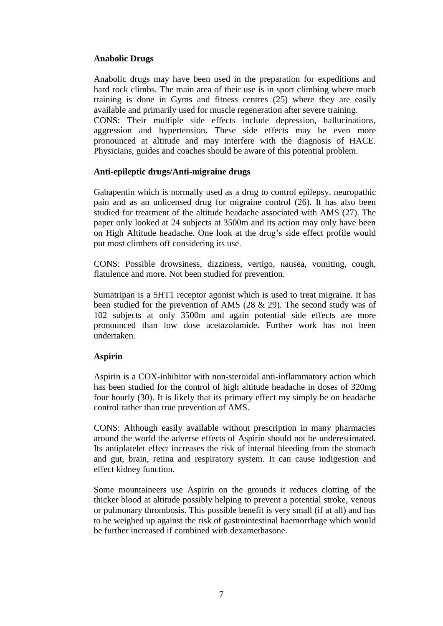# **Anabolic Drugs**

Anabolic drugs may have been used in the preparation for expeditions and hard rock climbs. The main area of their use is in sport climbing where much training is done in Gyms and fitness centres (25) where they are easily available and primarily used for muscle regeneration after severe training. CONS: Their multiple side effects include depression, hallucinations, aggression and hypertension. These side effects may be even more pronounced at altitude and may interfere with the diagnosis of HACE. Physicians, guides and coaches should be aware of this potential problem.

#### **Anti-epileptic drugs/Anti-migraine drugs**

Gabapentin which is normally used as a drug to control epilepsy, neuropathic pain and as an unlicensed drug for migraine control (26). It has also been studied for treatment of the altitude headache associated with AMS (27). The paper only looked at 24 subjects at 3500m and its action may only have been on High Altitude headache. One look at the drug's side effect profile would put most climbers off considering its use.

CONS: Possible drowsiness, dizziness, vertigo, nausea, vomiting, cough, flatulence and more. Not been studied for prevention.

Sumatripan is a 5HT1 receptor agonist which is used to treat migraine. It has been studied for the prevention of AMS (28 & 29). The second study was of 102 subjects at only 3500m and again potential side effects are more pronounced than low dose acetazolamide. Further work has not been undertaken.

#### **Aspirin**

Aspirin is a COX-inhibitor with non-steroidal anti-inflammatory action which has been studied for the control of high altitude headache in doses of 320mg four hourly (30). It is likely that its primary effect my simply be on headache control rather than true prevention of AMS.

CONS: Although easily available without prescription in many pharmacies around the world the adverse effects of Aspirin should not be underestimated. Its antiplatelet effect increases the risk of internal bleeding from the stomach and gut, brain, retina and respiratory system. It can cause indigestion and effect kidney function.

Some mountaineers use Aspirin on the grounds it reduces clotting of the thicker blood at altitude possibly helping to prevent a potential stroke, venous or pulmonary thrombosis. This possible benefit is very small (if at all) and has to be weighed up against the risk of gastrointestinal haemorrhage which would be further increased if combined with dexamethasone.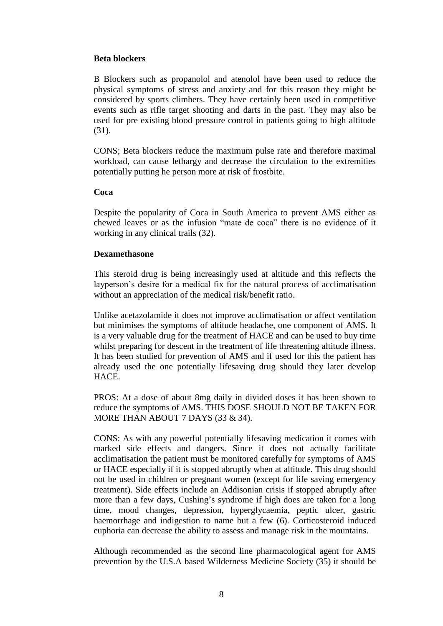#### **Beta blockers**

B Blockers such as propanolol and atenolol have been used to reduce the physical symptoms of stress and anxiety and for this reason they might be considered by sports climbers. They have certainly been used in competitive events such as rifle target shooting and darts in the past. They may also be used for pre existing blood pressure control in patients going to high altitude (31).

CONS; Beta blockers reduce the maximum pulse rate and therefore maximal workload, can cause lethargy and decrease the circulation to the extremities potentially putting he person more at risk of frostbite.

#### **Coca**

Despite the popularity of Coca in South America to prevent AMS either as chewed leaves or as the infusion "mate de coca" there is no evidence of it working in any clinical trails (32).

#### **Dexamethasone**

This steroid drug is being increasingly used at altitude and this reflects the layperson's desire for a medical fix for the natural process of acclimatisation without an appreciation of the medical risk/benefit ratio.

Unlike acetazolamide it does not improve acclimatisation or affect ventilation but minimises the symptoms of altitude headache, one component of AMS. It is a very valuable drug for the treatment of HACE and can be used to buy time whilst preparing for descent in the treatment of life threatening altitude illness. It has been studied for prevention of AMS and if used for this the patient has already used the one potentially lifesaving drug should they later develop HACE.

PROS: At a dose of about 8mg daily in divided doses it has been shown to reduce the symptoms of AMS. THIS DOSE SHOULD NOT BE TAKEN FOR MORE THAN ABOUT 7 DAYS (33 & 34).

CONS: As with any powerful potentially lifesaving medication it comes with marked side effects and dangers. Since it does not actually facilitate acclimatisation the patient must be monitored carefully for symptoms of AMS or HACE especially if it is stopped abruptly when at altitude. This drug should not be used in children or pregnant women (except for life saving emergency treatment). Side effects include an Addisonian crisis if stopped abruptly after more than a few days, Cushing's syndrome if high does are taken for a long time, mood changes, depression, hyperglycaemia, peptic ulcer, gastric haemorrhage and indigestion to name but a few (6). Corticosteroid induced euphoria can decrease the ability to assess and manage risk in the mountains.

Although recommended as the second line pharmacological agent for AMS prevention by the U.S.A based Wilderness Medicine Society (35) it should be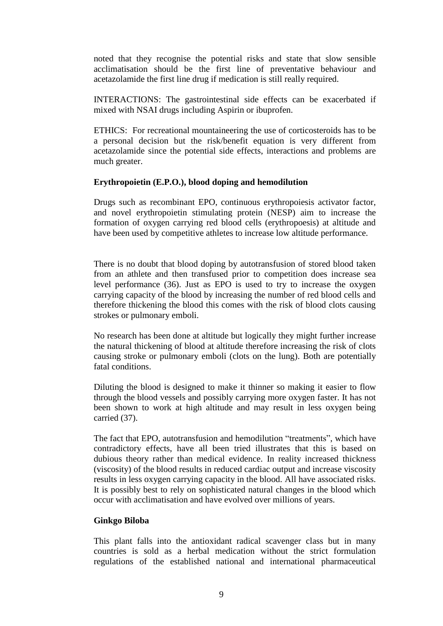noted that they recognise the potential risks and state that slow sensible acclimatisation should be the first line of preventative behaviour and acetazolamide the first line drug if medication is still really required.

INTERACTIONS: The gastrointestinal side effects can be exacerbated if mixed with NSAI drugs including Aspirin or ibuprofen.

ETHICS: For recreational mountaineering the use of corticosteroids has to be a personal decision but the risk/benefit equation is very different from acetazolamide since the potential side effects, interactions and problems are much greater.

#### **Erythropoietin (E.P.O.), blood doping and hemodilution**

Drugs such as recombinant EPO, continuous erythropoiesis activator factor, and novel erythropoietin stimulating protein (NESP) aim to increase the formation of oxygen carrying red blood cells (erythropoesis) at altitude and have been used by competitive athletes to increase low altitude performance.

There is no doubt that blood doping by autotransfusion of stored blood taken from an athlete and then transfused prior to competition does increase sea level performance (36). Just as EPO is used to try to increase the oxygen carrying capacity of the blood by increasing the number of red blood cells and therefore thickening the blood this comes with the risk of blood clots causing strokes or pulmonary emboli.

No research has been done at altitude but logically they might further increase the natural thickening of blood at altitude therefore increasing the risk of clots causing stroke or pulmonary emboli (clots on the lung). Both are potentially fatal conditions.

Diluting the blood is designed to make it thinner so making it easier to flow through the blood vessels and possibly carrying more oxygen faster. It has not been shown to work at high altitude and may result in less oxygen being carried (37).

The fact that EPO, autotransfusion and hemodilution "treatments", which have contradictory effects, have all been tried illustrates that this is based on dubious theory rather than medical evidence. In reality increased thickness (viscosity) of the blood results in reduced cardiac output and increase viscosity results in less oxygen carrying capacity in the blood. All have associated risks. It is possibly best to rely on sophisticated natural changes in the blood which occur with acclimatisation and have evolved over millions of years.

#### **Ginkgo Biloba**

This plant falls into the antioxidant radical scavenger class but in many countries is sold as a herbal medication without the strict formulation regulations of the established national and international pharmaceutical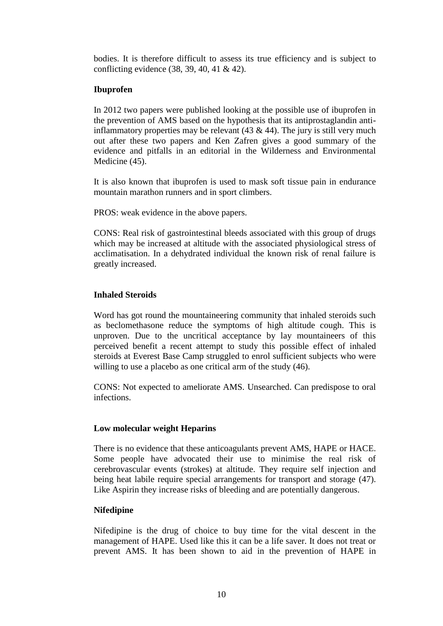bodies. It is therefore difficult to assess its true efficiency and is subject to conflicting evidence (38, 39, 40, 41 & 42).

# **Ibuprofen**

In 2012 two papers were published looking at the possible use of ibuprofen in the prevention of AMS based on the hypothesis that its antiprostaglandin antiinflammatory properties may be relevant  $(43 \& 44)$ . The jury is still very much out after these two papers and Ken Zafren gives a good summary of the evidence and pitfalls in an editorial in the Wilderness and Environmental Medicine (45).

It is also known that ibuprofen is used to mask soft tissue pain in endurance mountain marathon runners and in sport climbers.

PROS: weak evidence in the above papers.

CONS: Real risk of gastrointestinal bleeds associated with this group of drugs which may be increased at altitude with the associated physiological stress of acclimatisation. In a dehydrated individual the known risk of renal failure is greatly increased.

# **Inhaled Steroids**

Word has got round the mountaineering community that inhaled steroids such as beclomethasone reduce the symptoms of high altitude cough. This is unproven. Due to the uncritical acceptance by lay mountaineers of this perceived benefit a recent attempt to study this possible effect of inhaled steroids at Everest Base Camp struggled to enrol sufficient subjects who were willing to use a placebo as one critical arm of the study  $(46)$ .

CONS: Not expected to ameliorate AMS. Unsearched. Can predispose to oral infections.

#### **Low molecular weight Heparins**

There is no evidence that these anticoagulants prevent AMS, HAPE or HACE. Some people have advocated their use to minimise the real risk of cerebrovascular events (strokes) at altitude. They require self injection and being heat labile require special arrangements for transport and storage (47). Like Aspirin they increase risks of bleeding and are potentially dangerous.

# **Nifedipine**

Nifedipine is the drug of choice to buy time for the vital descent in the management of HAPE. Used like this it can be a life saver. It does not treat or prevent AMS. It has been shown to aid in the prevention of HAPE in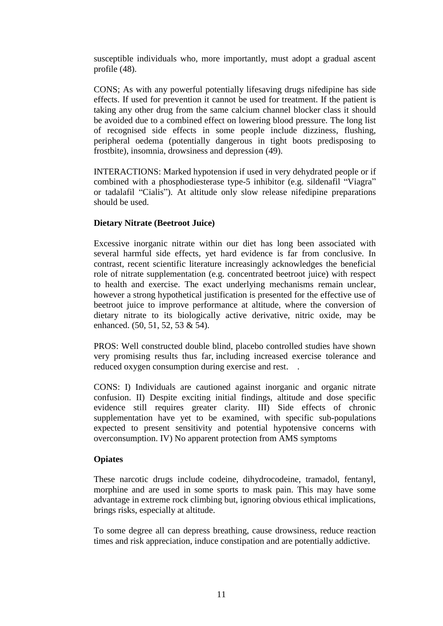susceptible individuals who, more importantly, must adopt a gradual ascent profile (48).

CONS; As with any powerful potentially lifesaving drugs nifedipine has side effects. If used for prevention it cannot be used for treatment. If the patient is taking any other drug from the same calcium channel blocker class it should be avoided due to a combined effect on lowering blood pressure. The long list of recognised side effects in some people include dizziness, flushing, peripheral oedema (potentially dangerous in tight boots predisposing to frostbite), insomnia, drowsiness and depression (49).

INTERACTIONS: Marked hypotension if used in very dehydrated people or if combined with a phosphodiesterase type-5 inhibitor (e.g. sildenafil "Viagra" or tadalafil "Cialis"). At altitude only slow release nifedipine preparations should be used.

# **Dietary Nitrate (Beetroot Juice)**

Excessive inorganic nitrate within our diet has long been associated with several harmful side effects, yet hard evidence is far from conclusive. In contrast, recent scientific literature increasingly acknowledges the beneficial role of nitrate supplementation (e.g. concentrated beetroot juice) with respect to health and exercise. The exact underlying mechanisms remain unclear, however a strong hypothetical justification is presented for the effective use of beetroot juice to improve performance at altitude, where the conversion of dietary nitrate to its biologically active derivative, nitric oxide, may be enhanced. (50, 51, 52, 53 & 54).

PROS: Well constructed double blind, placebo controlled studies have shown very promising results thus far, including increased exercise tolerance and reduced oxygen consumption during exercise and rest. .

CONS: I) Individuals are cautioned against inorganic and organic nitrate confusion. II) Despite exciting initial findings, altitude and dose specific evidence still requires greater clarity. III) Side effects of chronic supplementation have yet to be examined, with specific sub-populations expected to present sensitivity and potential hypotensive concerns with overconsumption. IV) No apparent protection from AMS symptoms

#### **Opiates**

These narcotic drugs include codeine, dihydrocodeine, tramadol, fentanyl, morphine and are used in some sports to mask pain. This may have some advantage in extreme rock climbing but, ignoring obvious ethical implications, brings risks, especially at altitude.

To some degree all can depress breathing, cause drowsiness, reduce reaction times and risk appreciation, induce constipation and are potentially addictive.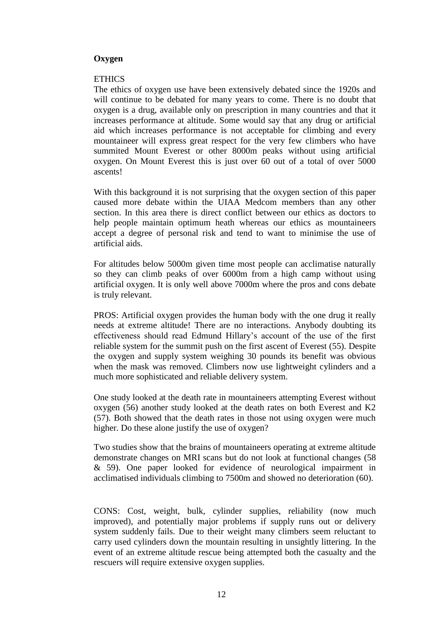# **Oxygen**

#### **ETHICS**

The ethics of oxygen use have been extensively debated since the 1920s and will continue to be debated for many years to come. There is no doubt that oxygen is a drug, available only on prescription in many countries and that it increases performance at altitude. Some would say that any drug or artificial aid which increases performance is not acceptable for climbing and every mountaineer will express great respect for the very few climbers who have summited Mount Everest or other 8000m peaks without using artificial oxygen. On Mount Everest this is just over 60 out of a total of over 5000 ascents!

With this background it is not surprising that the oxygen section of this paper caused more debate within the UIAA Medcom members than any other section. In this area there is direct conflict between our ethics as doctors to help people maintain optimum heath whereas our ethics as mountaineers accept a degree of personal risk and tend to want to minimise the use of artificial aids.

For altitudes below 5000m given time most people can acclimatise naturally so they can climb peaks of over 6000m from a high camp without using artificial oxygen. It is only well above 7000m where the pros and cons debate is truly relevant.

PROS: Artificial oxygen provides the human body with the one drug it really needs at extreme altitude! There are no interactions. Anybody doubting its effectiveness should read Edmund Hillary's account of the use of the first reliable system for the summit push on the first ascent of Everest (55). Despite the oxygen and supply system weighing 30 pounds its benefit was obvious when the mask was removed. Climbers now use lightweight cylinders and a much more sophisticated and reliable delivery system.

One study looked at the death rate in mountaineers attempting Everest without oxygen (56) another study looked at the death rates on both Everest and K2 (57). Both showed that the death rates in those not using oxygen were much higher. Do these alone justify the use of oxygen?

Two studies show that the brains of mountaineers operating at extreme altitude demonstrate changes on MRI scans but do not look at functional changes (58 & 59). One paper looked for evidence of neurological impairment in acclimatised individuals climbing to 7500m and showed no deterioration (60).

CONS: Cost, weight, bulk, cylinder supplies, reliability (now much improved), and potentially major problems if supply runs out or delivery system suddenly fails. Due to their weight many climbers seem reluctant to carry used cylinders down the mountain resulting in unsightly littering. In the event of an extreme altitude rescue being attempted both the casualty and the rescuers will require extensive oxygen supplies.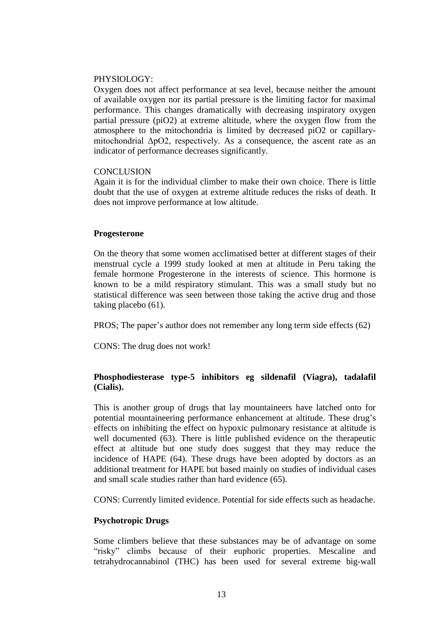#### PHYSIOLOGY·

Oxygen does not affect performance at sea level, because neither the amount of available oxygen nor its partial pressure is the limiting factor for maximal performance. This changes dramatically with decreasing inspiratory oxygen partial pressure (piO2) at extreme altitude, where the oxygen flow from the atmosphere to the mitochondria is limited by decreased piO2 or capillarymitochondrial ΔpO2, respectively. As a consequence, the ascent rate as an indicator of performance decreases significantly.

#### **CONCLUSION**

Again it is for the individual climber to make their own choice. There is little doubt that the use of oxygen at extreme altitude reduces the risks of death. It does not improve performance at low altitude.

#### **Progesterone**

On the theory that some women acclimatised better at different stages of their menstrual cycle a 1999 study looked at men at altitude in Peru taking the female hormone Progesterone in the interests of science. This hormone is known to be a mild respiratory stimulant. This was a small study but no statistical difference was seen between those taking the active drug and those taking placebo (61).

PROS; The paper's author does not remember any long term side effects (62)

CONS: The drug does not work!

# **Phosphodiesterase type-5 inhibitors eg sildenafil (Viagra), tadalafil (Cialis).**

This is another group of drugs that lay mountaineers have latched onto for potential mountaineering performance enhancement at altitude. These drug's effects on inhibiting the effect on hypoxic pulmonary resistance at altitude is well documented (63). There is little published evidence on the therapeutic effect at altitude but one study does suggest that they may reduce the incidence of HAPE (64). These drugs have been adopted by doctors as an additional treatment for HAPE but based mainly on studies of individual cases and small scale studies rather than hard evidence (65).

CONS: Currently limited evidence. Potential for side effects such as headache.

#### **Psychotropic Drugs**

Some climbers believe that these substances may be of advantage on some "risky" climbs because of their euphoric properties. Mescaline and tetrahydrocannabinol (THC) has been used for several extreme big-wall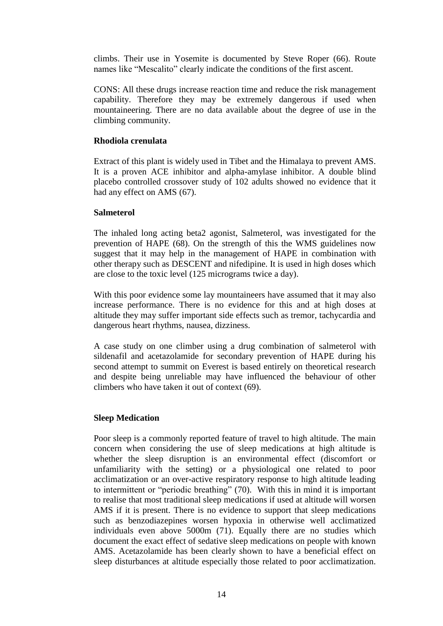climbs. Their use in Yosemite is documented by Steve Roper (66). Route names like "Mescalito" clearly indicate the conditions of the first ascent.

CONS: All these drugs increase reaction time and reduce the risk management capability. Therefore they may be extremely dangerous if used when mountaineering. There are no data available about the degree of use in the climbing community.

#### **Rhodiola crenulata**

Extract of this plant is widely used in Tibet and the Himalaya to prevent AMS. It is a proven ACE inhibitor and alpha-amylase inhibitor. A double blind placebo controlled crossover study of 102 adults showed no evidence that it had any effect on AMS (67).

#### **Salmeterol**

The inhaled long acting beta2 agonist, Salmeterol, was investigated for the prevention of HAPE (68). On the strength of this the WMS guidelines now suggest that it may help in the management of HAPE in combination with other therapy such as DESCENT and nifedipine. It is used in high doses which are close to the toxic level (125 micrograms twice a day).

With this poor evidence some lay mountaineers have assumed that it may also increase performance. There is no evidence for this and at high doses at altitude they may suffer important side effects such as tremor, tachycardia and dangerous heart rhythms, nausea, dizziness.

A case study on one climber using a drug combination of salmeterol with sildenafil and acetazolamide for secondary prevention of HAPE during his second attempt to summit on Everest is based entirely on theoretical research and despite being unreliable may have influenced the behaviour of other climbers who have taken it out of context (69).

#### **Sleep Medication**

Poor sleep is a commonly reported feature of travel to high altitude. The main concern when considering the use of sleep medications at high altitude is whether the sleep disruption is an environmental effect (discomfort or unfamiliarity with the setting) or a physiological one related to poor acclimatization or an over-active respiratory response to high altitude leading to intermittent or "periodic breathing" (70). With this in mind it is important to realise that most traditional sleep medications if used at altitude will worsen AMS if it is present. There is no evidence to support that sleep medications such as benzodiazepines worsen hypoxia in otherwise well acclimatized individuals even above 5000m (71). Equally there are no studies which document the exact effect of sedative sleep medications on people with known AMS. Acetazolamide has been clearly shown to have a beneficial effect on sleep disturbances at altitude especially those related to poor acclimatization.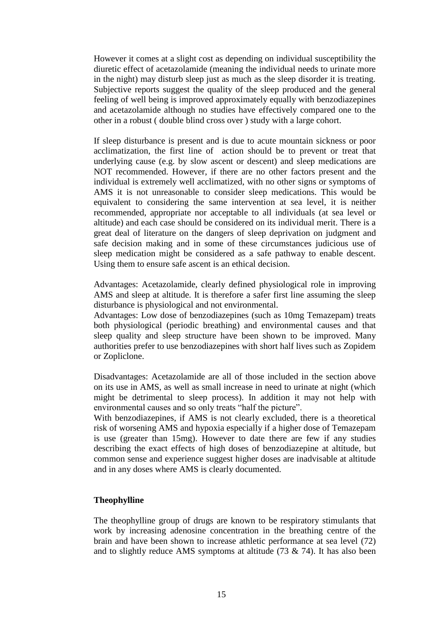However it comes at a slight cost as depending on individual susceptibility the diuretic effect of acetazolamide (meaning the individual needs to urinate more in the night) may disturb sleep just as much as the sleep disorder it is treating. Subjective reports suggest the quality of the sleep produced and the general feeling of well being is improved approximately equally with benzodiazepines and acetazolamide although no studies have effectively compared one to the other in a robust ( double blind cross over ) study with a large cohort.

If sleep disturbance is present and is due to acute mountain sickness or poor acclimatization, the first line of action should be to prevent or treat that underlying cause (e.g. by slow ascent or descent) and sleep medications are NOT recommended. However, if there are no other factors present and the individual is extremely well acclimatized, with no other signs or symptoms of AMS it is not unreasonable to consider sleep medications. This would be equivalent to considering the same intervention at sea level, it is neither recommended, appropriate nor acceptable to all individuals (at sea level or altitude) and each case should be considered on its individual merit. There is a great deal of literature on the dangers of sleep deprivation on judgment and safe decision making and in some of these circumstances judicious use of sleep medication might be considered as a safe pathway to enable descent. Using them to ensure safe ascent is an ethical decision.

Advantages: Acetazolamide, clearly defined physiological role in improving AMS and sleep at altitude. It is therefore a safer first line assuming the sleep disturbance is physiological and not environmental.

Advantages: Low dose of benzodiazepines (such as 10mg Temazepam) treats both physiological (periodic breathing) and environmental causes and that sleep quality and sleep structure have been shown to be improved. Many authorities prefer to use benzodiazepines with short half lives such as Zopidem or Zopliclone.

Disadvantages: Acetazolamide are all of those included in the section above on its use in AMS, as well as small increase in need to urinate at night (which might be detrimental to sleep process). In addition it may not help with environmental causes and so only treats "half the picture".

With benzodiazepines, if AMS is not clearly excluded, there is a theoretical risk of worsening AMS and hypoxia especially if a higher dose of Temazepam is use (greater than 15mg). However to date there are few if any studies describing the exact effects of high doses of benzodiazepine at altitude, but common sense and experience suggest higher doses are inadvisable at altitude and in any doses where AMS is clearly documented.

#### **Theophylline**

The theophylline group of drugs are known to be respiratory stimulants that work by increasing adenosine concentration in the breathing centre of the brain and have been shown to increase athletic performance at sea level (72) and to slightly reduce AMS symptoms at altitude (73 & 74). It has also been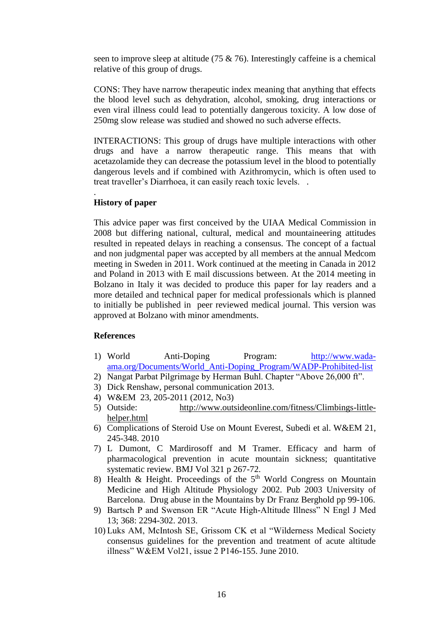seen to improve sleep at altitude (75 & 76). Interestingly caffeine is a chemical relative of this group of drugs.

CONS: They have narrow therapeutic index meaning that anything that effects the blood level such as dehydration, alcohol, smoking, drug interactions or even viral illness could lead to potentially dangerous toxicity. A low dose of 250mg slow release was studied and showed no such adverse effects.

INTERACTIONS: This group of drugs have multiple interactions with other drugs and have a narrow therapeutic range. This means that with acetazolamide they can decrease the potassium level in the blood to potentially dangerous levels and if combined with Azithromycin, which is often used to treat traveller's Diarrhoea, it can easily reach toxic levels. .

#### **History of paper**

.

This advice paper was first conceived by the UIAA Medical Commission in 2008 but differing national, cultural, medical and mountaineering attitudes resulted in repeated delays in reaching a consensus. The concept of a factual and non judgmental paper was accepted by all members at the annual Medcom meeting in Sweden in 2011. Work continued at the meeting in Canada in 2012 and Poland in 2013 with E mail discussions between. At the 2014 meeting in Bolzano in Italy it was decided to produce this paper for lay readers and a more detailed and technical paper for medical professionals which is planned to initially be published in peer reviewed medical journal. This version was approved at Bolzano with minor amendments.

#### **References**

- 1) World Anti-Doping Program: [http://www.wada](http://www.wada-ama.org/Documents/World_Anti-Doping_Program/WADP-Prohibited-list)[ama.org/Documents/World\\_Anti-Doping\\_Program/WADP-Prohibited-list](http://www.wada-ama.org/Documents/World_Anti-Doping_Program/WADP-Prohibited-list)
- 2) Nangat Parbat Pilgrimage by Herman Buhl. Chapter "Above 26,000 ft".
- 3) Dick Renshaw, personal communication 2013.
- 4) W&EM 23, 205-2011 (2012, No3)
- 5) Outside: [http://www.outsideonline.com/fitness/Climbings-little](http://www.outsideonline.com/fitness/Climbings-little-helper.html)[helper.html](http://www.outsideonline.com/fitness/Climbings-little-helper.html)
- 6) Complications of Steroid Use on Mount Everest, Subedi et al. W&EM 21, 245-348. 2010
- 7) L Dumont, C Mardirosoff and M Tramer. Efficacy and harm of pharmacological prevention in acute mountain sickness; quantitative systematic review. BMJ Vol 321 p 267-72.
- 8) Health & Height. Proceedings of the  $5<sup>th</sup>$  World Congress on Mountain Medicine and High Altitude Physiology 2002. Pub 2003 University of Barcelona. Drug abuse in the Mountains by Dr Franz Berghold pp 99-106.
- 9) Bartsch P and Swenson ER "Acute High-Altitude Illness" N Engl J Med 13; 368: 2294-302. 2013.
- 10) Luks AM, McIntosh SE, Grissom CK et al "Wilderness Medical Society consensus guidelines for the prevention and treatment of acute altitude illness" W&EM Vol21, issue 2 P146-155. June 2010.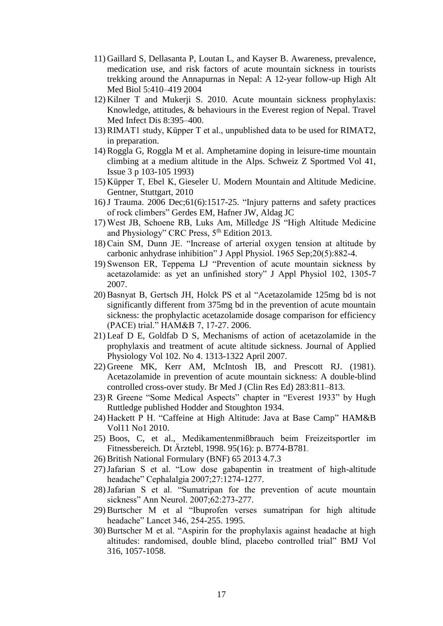- 11) Gaillard S, Dellasanta P, Loutan L, and Kayser B. Awareness, prevalence, medication use, and risk factors of acute mountain sickness in tourists trekking around the Annapurnas in Nepal: A 12-year follow-up High Alt Med Biol 5:410–419 2004
- 12) Kilner T and Mukerji S. 2010. Acute mountain sickness prophylaxis: Knowledge, attitudes, & behaviours in the Everest region of Nepal. Travel Med Infect Dis 8:395–400.
- 13) RIMAT1 study, Küpper T et al., unpublished data to be used for RIMAT2, in preparation.
- 14) Roggla G, Roggla M et al. Amphetamine doping in leisure-time mountain climbing at a medium altitude in the Alps. Schweiz Z Sportmed Vol 41, Issue 3 p 103-105 1993)
- 15) Küpper T, Ebel K, Gieseler U. Modern Mountain and Altitude Medicine. Gentner, Stuttgart, 2010
- 16)J Trauma. 2006 Dec;61(6):1517-25. "Injury patterns and safety practices of rock climbers" [Gerdes EM,](../../../../../../pubmed%3fterm=Gerdes%20EM%5bAuthor%5d&cauthor=true&cauthor_uid=17159699) [Hafner JW,](../../../../../../pubmed%3fterm=Hafner%20JW%5bAuthor%5d&cauthor=true&cauthor_uid=17159699) [Aldag JC](../../../../../../pubmed%3fterm=Aldag%20JC%5bAuthor%5d&cauthor=true&cauthor_uid=17159699)
- 17) West JB, Schoene RB, Luks Am, Milledge JS "High Altitude Medicine and Physiology" CRC Press,  $5<sup>th</sup>$  Edition 2013.
- 18) Cain SM, Dunn JE. "Increase of arterial oxygen tension at altitude by carbonic anhydrase inhibition" J Appl Physiol. 1965 Sep;20(5):882-4.
- 19) Swenson ER, Teppema LJ "Prevention of acute mountain sickness by acetazolamide: as yet an unfinished story" J Appl Physiol 102, 1305-7 2007.
- 20) Basnyat B, Gertsch JH, Holck PS et al "Acetazolamide 125mg bd is not significantly different from 375mg bd in the prevention of acute mountain sickness: the prophylactic acetazolamide dosage comparison for efficiency (PACE) trial." HAM&B 7, 17-27. 2006.
- 21) Leaf D E, Goldfab D S, Mechanisms of action of acetazolamide in the prophylaxis and treatment of acute altitude sickness. Journal of Applied Physiology Vol 102. No 4. 1313-1322 April 2007.
- 22) Greene MK, Kerr AM, McIntosh IB, and Prescott RJ. (1981). Acetazolamide in prevention of acute mountain sickness: A double-blind controlled cross-over study. Br Med J (Clin Res Ed) 283:811–813.
- 23) R Greene "Some Medical Aspects" chapter in "Everest 1933" by Hugh Ruttledge published Hodder and Stoughton 1934.
- 24) Hackett P H. "Caffeine at High Altitude: Java at Base Camp" HAM&B Vol11 No1 2010.
- 25) Boos, C, et al., Medikamentenmißbrauch beim Freizeitsportler im Fitnessbereich*.* Dt Ärztebl, 1998. 95(16): p. B774-B781.
- 26) British National Formulary (BNF) 65 2013 4.7.3
- 27)Jafarian S et al. "Low dose gabapentin in treatment of high-altitude headache" Cephalalgia 2007;27:1274-1277.
- 28)Jafarian S et al. "Sumatripan for the prevention of acute mountain sickness" Ann Neurol. 2007;62:273-277.
- 29) Burtscher M et al "Ibuprofen verses sumatripan for high altitude headache" Lancet 346, 254-255. 1995.
- 30) Burtscher M et al. "Aspirin for the prophylaxis against headache at high altitudes: randomised, double blind, placebo controlled trial" BMJ Vol 316, 1057-1058.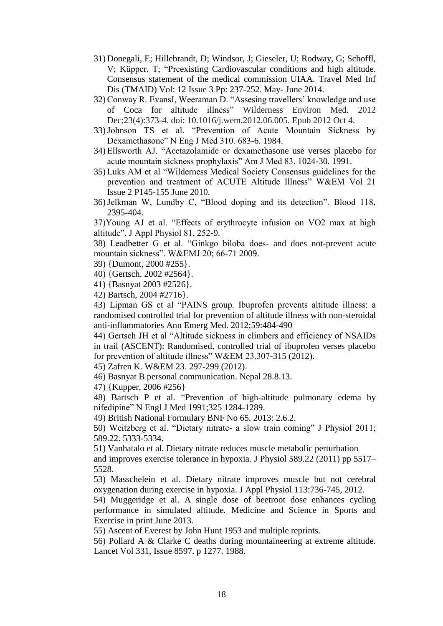- 31) Donegali, E; Hillebrandt, D; Windsor, J; Gieseler, U; Rodway, G; Schoffl, V; Küpper, T; "Preexisting Cardiovascular conditions and high altitude. Consensus statement of the medical commission UIAA. Travel Med Inf Dis (TMAID) Vol: 12 Issue 3 Pp: 237-252. May- June 2014.
- 32) Conway R. EvansI, Weeraman D. "Assesing travellers' knowledge and use of Coca for altitude illness" Wilderness Environ Med. 2012 Dec;23(4):373-4. doi: 10.1016/j.wem.2012.06.005. Epub 2012 Oct 4.
- 33)Johnson TS et al. "Prevention of Acute Mountain Sickness by Dexamethasone" N Eng J Med 310. 683-6. 1984.
- 34) Ellsworth AJ. "Acetazolamide or dexamethasone use verses placebo for acute mountain sickness prophylaxis" Am J Med 83. 1024-30. 1991.
- 35) Luks AM et al "Wilderness Medical Society Consensus guidelines for the prevention and treatment of ACUTE Altitude Illness" W&EM Vol 21 Issue 2 P145-155 June 2010.
- 36)Jelkman W, Lundby C, "Blood doping and its detection". Blood 118, 2395-404.

37)Young AJ et al. "Effects of erythrocyte infusion on VO2 max at high altitude". J Appl Physiol 81, 252-9.

38) Leadbetter G et al. "Ginkgo biloba does- and does not-prevent acute mountain sickness". W&EMJ 20; 66-71 2009.

39) {Dumont, 2000 #255}.

40) {Gertsch. 2002 #2564}.

41) {Basnyat 2003 #2526}.

42) Bartsch, 2004 #2716}.

43) Lipman GS et al "PAINS group. Ibuprofen prevents altitude illness: a randomised controlled trial for prevention of altitude illness with non-steroidal anti-inflammatories Ann Emerg Med. 2012;59:484-490

44) Gertsch JH et al "Altitude sickness in climbers and efficiency of NSAIDs in trail (ASCENT): Randomised, controlled trial of ibuprofen verses placebo for prevention of altitude illness" W&EM 23.307-315 (2012).

45) Zafren K. W&EM 23. 297-299 (2012).

46) Basnyat B personal communication. Nepal 28.8.13.

47) {Kupper, 2006 #256}

48) Bartsch P et al. "Prevention of high-altitude pulmonary edema by nifedipine" N Engl J Med 1991;325 1284-1289.

49) British National Formulary BNF No 65. 2013: 2.6.2.

50) Weitzberg et al. "Dietary nitrate- a slow train coming" J Physiol 2011; 589.22. 5333-5334.

51) Vanhatalo et al. Dietary nitrate reduces muscle metabolic perturbation

and improves exercise tolerance in hypoxia. J Physiol 589.22 (2011) pp 5517– 5528.

53) Masschelein et al. Dietary nitrate improves muscle but not cerebral oxygenation during exercise in hypoxia. J Appl Physiol 113:736-745, 2012.

54) Muggeridge et al. A single dose of beetroot dose enhances cycling performance in simulated altitude. Medicine and Science in Sports and Exercise in print June 2013.

55) Ascent of Everest by John Hunt 1953 and multiple reprints.

56) Pollard A & Clarke C deaths during mountaineering at extreme altitude. Lancet Vol 331, Issue 8597. p 1277. 1988.